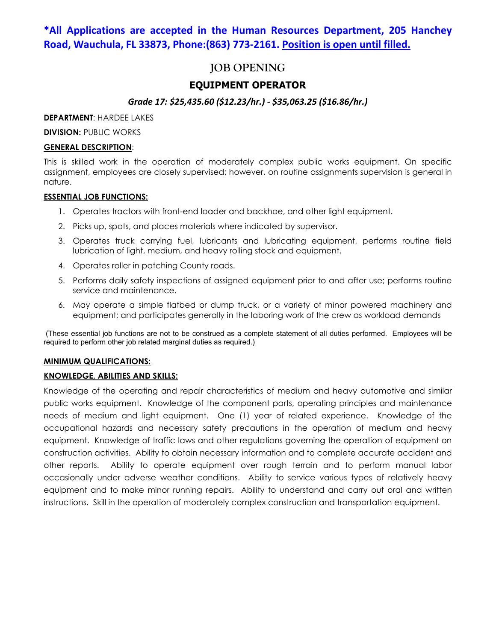## **\*All Applications are accepted in the Human Resources Department, 205 Hanchey Road, Wauchula, FL 33873, Phone:(863) 773-2161. Position is open until filled.**

## **JOB OPENING**

## **EQUIPMENT OPERATOR**

## *Grade 17: \$25,435.60 (\$12.23/hr.) - \$35,063.25 (\$16.86/hr.)*

**DEPARTMENT**: HARDEE LAKES

**DIVISION: PUBLIC WORKS** 

## **GENERAL DESCRIPTION**:

This is skilled work in the operation of moderately complex public works equipment. On specific assignment, employees are closely supervised; however, on routine assignments supervision is general in nature.

#### **ESSENTIAL JOB FUNCTIONS:**

- 1. Operates tractors with front-end loader and backhoe, and other light equipment.
- 2. Picks up, spots, and places materials where indicated by supervisor.
- 3. Operates truck carrying fuel, lubricants and lubricating equipment, performs routine field lubrication of light, medium, and heavy rolling stock and equipment.
- 4. Operates roller in patching County roads.
- 5. Performs daily safety inspections of assigned equipment prior to and after use; performs routine service and maintenance.
- 6. May operate a simple flatbed or dump truck, or a variety of minor powered machinery and equipment; and participates generally in the laboring work of the crew as workload demands

(These essential job functions are not to be construed as a complete statement of all duties performed. Employees will be required to perform other job related marginal duties as required.)

#### **MINIMUM QUALIFICATIONS:**

## **KNOWLEDGE, ABILITIES AND SKILLS:**

Knowledge of the operating and repair characteristics of medium and heavy automotive and similar public works equipment. Knowledge of the component parts, operating principles and maintenance needs of medium and light equipment. One (1) year of related experience. Knowledge of the occupational hazards and necessary safety precautions in the operation of medium and heavy equipment. Knowledge of traffic laws and other regulations governing the operation of equipment on construction activities. Ability to obtain necessary information and to complete accurate accident and other reports. Ability to operate equipment over rough terrain and to perform manual labor occasionally under adverse weather conditions. Ability to service various types of relatively heavy equipment and to make minor running repairs. Ability to understand and carry out oral and written instructions. Skill in the operation of moderately complex construction and transportation equipment.